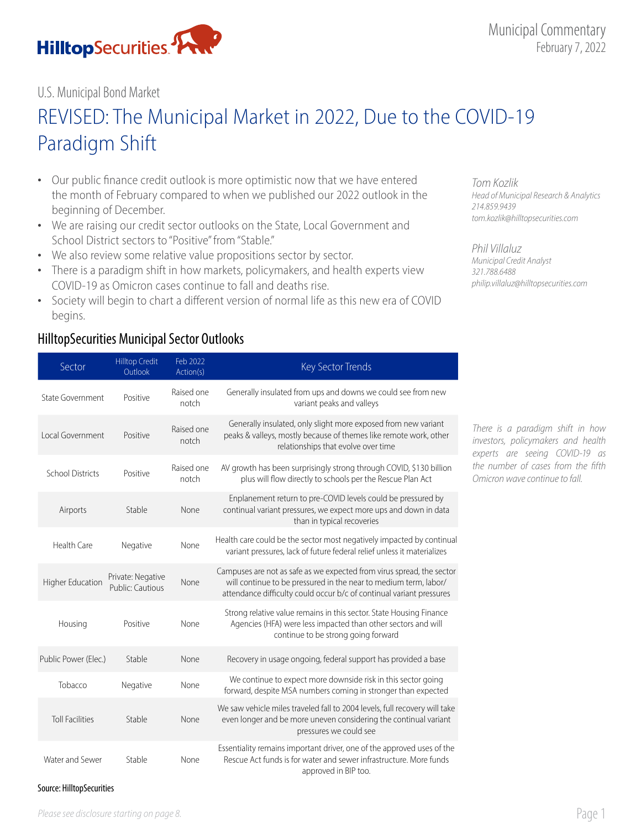

### U.S. Municipal Bond Market

# REVISED: The Municipal Market in 2022, Due to the COVID-19 Paradigm Shift

- Our public finance credit outlook is more optimistic now that we have entered the month of February compared to when we published our 2022 outlook in the beginning of December.
- We are raising our credit sector outlooks on the State, Local Government and School District sectors to "Positive" from "Stable."
- We also review some relative value propositions sector by sector.
- There is a paradigm shift in how markets, policymakers, and health experts view COVID-19 as Omicron cases continue to fall and deaths rise.
- Society will begin to chart a different version of normal life as this new era of COVID begins.

### HilltopSecurities Municipal Sector Outlooks

*Tom Kozlik Head of Municipal Research & Analytics 214.859.9439 tom.kozlik@hilltopsecurities.com*

*Phil Villaluz Municipal Credit Analyst 321.788.6488 philip.villaluz@hilltopsecurities.com*

| Sector                  | <b>Hilltop Credit</b><br>Outlook      | Feb 2022<br>Action(s) | Key Sector Trends                                                                                                                                                                                                 |  |
|-------------------------|---------------------------------------|-----------------------|-------------------------------------------------------------------------------------------------------------------------------------------------------------------------------------------------------------------|--|
| State Government        | Positive                              | Raised one<br>notch   | Generally insulated from ups and downs we could see from new<br>variant peaks and valleys                                                                                                                         |  |
| Local Government        | Positive                              | Raised one<br>notch   | Generally insulated, only slight more exposed from new variant<br>peaks & valleys, mostly because of themes like remote work, other<br>relationships that evolve over time                                        |  |
| <b>School Districts</b> | Positive                              | Raised one<br>notch   | AV growth has been surprisingly strong through COVID, \$130 billion<br>plus will flow directly to schools per the Rescue Plan Act                                                                                 |  |
| Airports                | Stable                                | None                  | Enplanement return to pre-COVID levels could be pressured by<br>continual variant pressures, we expect more ups and down in data<br>than in typical recoveries                                                    |  |
| Health Care             | Negative                              | None                  | Health care could be the sector most negatively impacted by continual<br>variant pressures, lack of future federal relief unless it materializes                                                                  |  |
| Higher Education        | Private: Negative<br>Public: Cautious | None                  | Campuses are not as safe as we expected from virus spread, the sector<br>will continue to be pressured in the near to medium term, labor/<br>attendance difficulty could occur b/c of continual variant pressures |  |
| Housing                 | Positive                              | None                  | Strong relative value remains in this sector. State Housing Finance<br>Agencies (HFA) were less impacted than other sectors and will<br>continue to be strong going forward                                       |  |
| Public Power (Elec.)    | Stable                                | None                  | Recovery in usage ongoing, federal support has provided a base                                                                                                                                                    |  |
| Tobacco                 | Negative                              | None                  | We continue to expect more downside risk in this sector going<br>forward, despite MSA numbers coming in stronger than expected                                                                                    |  |
| <b>Toll Facilities</b>  | Stable                                | None                  | We saw vehicle miles traveled fall to 2004 levels, full recovery will take<br>even longer and be more uneven considering the continual variant<br>pressures we could see                                          |  |
| Water and Sewer         | Stable                                | None                  | Essentiality remains important driver, one of the approved uses of the<br>Rescue Act funds is for water and sewer infrastructure. More funds<br>approved in BIP too.                                              |  |

*There is a paradigm shift in how investors, policymakers and health experts are seeing COVID-19 as the number of cases from the fifth Omicron wave continue to fall.*

#### Source: HilltopSecurities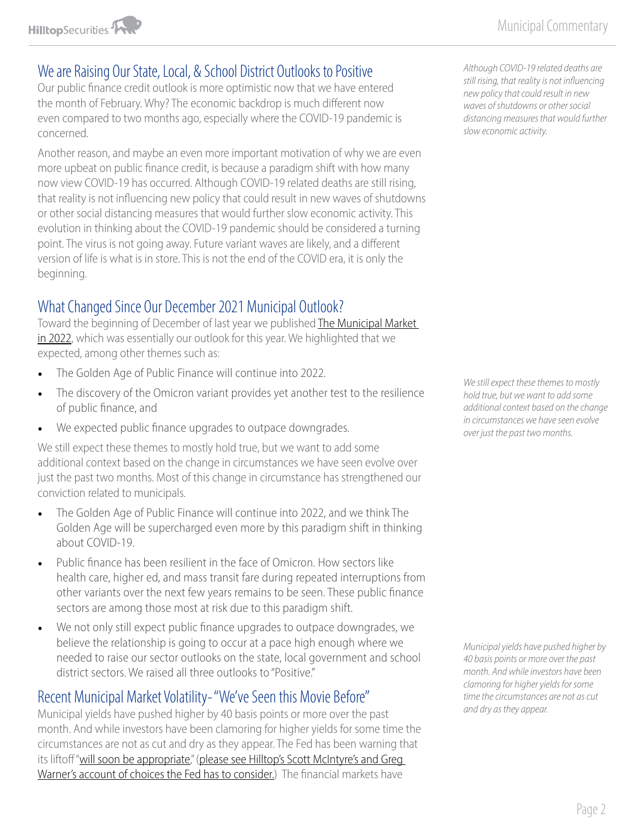# We are Raising Our State, Local, & School District Outlooks to Positive

Our public finance credit outlook is more optimistic now that we have entered the month of February. Why? The economic backdrop is much different now even compared to two months ago, especially where the COVID-19 pandemic is concerned.

Another reason, and maybe an even more important motivation of why we are even more upbeat on public finance credit, is because a paradigm shift with how many now view COVID-19 has occurred. Although COVID-19 related deaths are still rising, that reality is not influencing new policy that could result in new waves of shutdowns or other social distancing measures that would further slow economic activity. This evolution in thinking about the COVID-19 pandemic should be considered a turning point. The virus is not going away. Future variant waves are likely, and a different version of life is what is in store. This is not the end of the COVID era, it is only the beginning.

# What Changed Since Our December 2021 Municipal Outlook?

Toward the beginning of December of last year we published The Municipal Market [in 2022](https://www.hilltopsecurities.com/wp-content/uploads/sites/3/2021/12/municipal-commentary_12.2.21.pdf), which was essentially our outlook for this year. We highlighted that we expected, among other themes such as:

- The Golden Age of Public Finance will continue into 2022.
- The discovery of the Omicron variant provides yet another test to the resilience of public finance, and
- We expected public finance upgrades to outpace downgrades.

We still expect these themes to mostly hold true, but we want to add some additional context based on the change in circumstances we have seen evolve over just the past two months. Most of this change in circumstance has strengthened our conviction related to municipals.

- The Golden Age of Public Finance will continue into 2022, and we think The Golden Age will be supercharged even more by this paradigm shift in thinking about COVID-19.
- Public finance has been resilient in the face of Omicron. How sectors like health care, higher ed, and mass transit fare during repeated interruptions from other variants over the next few years remains to be seen. These public finance sectors are among those most at risk due to this paradigm shift.
- We not only still expect public finance upgrades to outpace downgrades, we believe the relationship is going to occur at a pace high enough where we needed to raise our sector outlooks on the state, local government and school district sectors. We raised all three outlooks to "Positive."

# Recent Municipal Market Volatility- "We've Seen this Movie Before"

Municipal yields have pushed higher by 40 basis points or more over the past month. And while investors have been clamoring for higher yields for some time the circumstances are not as cut and dry as they appear. The Fed has been warning that its liftoff "[will soon be appropriate,](https://www.hilltopsecurities.com/wp-content/uploads/sites/3/2022/01/economic-commentary_1.26.2022.pdf)" (please see Hilltop's Scott McIntyre's and Greg [Warner's account of choices the Fed has to consider.\)](https://www.hilltopsecurities.com/wp-content/uploads/sites/3/2022/01/economic-commentary_1.26.2022.pdf) The financial markets have

*Although COVID-19 related deaths are still rising, that reality is not influencing new policy that could result in new waves of shutdowns or other social distancing measures that would further slow economic activity.* 

*We still expect these themes to mostly hold true, but we want to add some additional context based on the change in circumstances we have seen evolve over just the past two months.* 

*Municipal yields have pushed higher by 40 basis points or more over the past month. And while investors have been clamoring for higher yields for some time the circumstances are not as cut and dry as they appear.*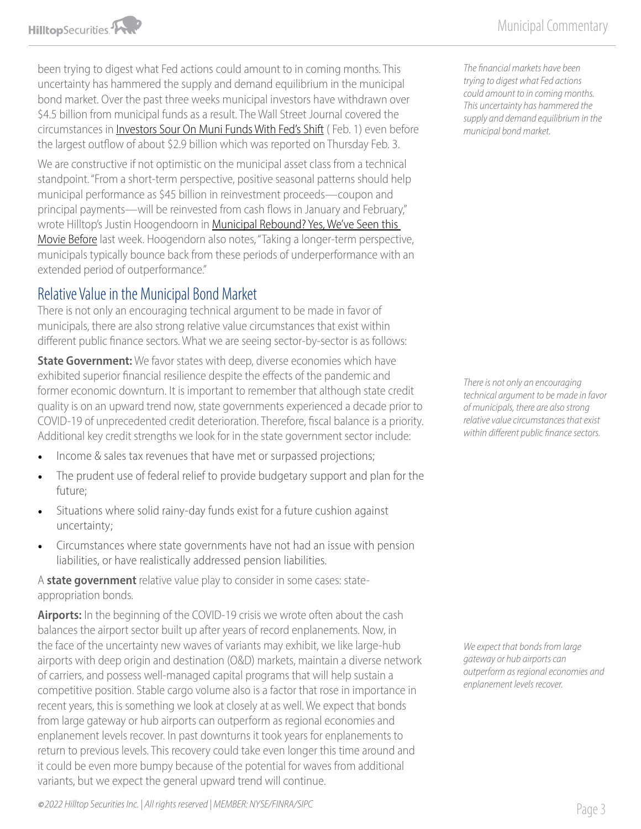been trying to digest what Fed actions could amount to in coming months. This uncertainty has hammered the supply and demand equilibrium in the municipal bond market. Over the past three weeks municipal investors have withdrawn over \$4.5 billion from municipal funds as a result. The Wall Street Journal covered the circumstances in [Investors Sour On Muni Funds With Fed's Shift](https://www.wsj.com/articles/investors-sour-on-muni-funds-11643568253) ( Feb. 1) even before the largest outflow of about \$2.9 billion which was reported on Thursday Feb. 3.

We are constructive if not optimistic on the municipal asset class from a technical standpoint. "From a short-term perspective, positive seasonal patterns should help municipal performance as \$45 billion in reinvestment proceeds—coupon and principal payments—will be reinvested from cash flows in January and February," wrote Hilltop's Justin Hoogendoorn in [Municipal Rebound? Yes, We've Seen this](https://www.hilltopsecurities.com/insight/municipal-rebound-yes-weve-seen-this-movie-before/)  [Movie Before](https://www.hilltopsecurities.com/insight/municipal-rebound-yes-weve-seen-this-movie-before/) last week. Hoogendorn also notes, "Taking a longer-term perspective, municipals typically bounce back from these periods of underperformance with an extended period of outperformance."

### Relative Value in the Municipal Bond Market

There is not only an encouraging technical argument to be made in favor of municipals, there are also strong relative value circumstances that exist within different public finance sectors. What we are seeing sector-by-sector is as follows:

**State Government:** We favor states with deep, diverse economies which have exhibited superior financial resilience despite the effects of the pandemic and former economic downturn. It is important to remember that although state credit quality is on an upward trend now, state governments experienced a decade prior to COVID-19 of unprecedented credit deterioration. Therefore, fiscal balance is a priority. Additional key credit strengths we look for in the state government sector include:

- Income & sales tax revenues that have met or surpassed projections;
- The prudent use of federal relief to provide budgetary support and plan for the future;
- Situations where solid rainy-day funds exist for a future cushion against uncertainty;
- Circumstances where state governments have not had an issue with pension liabilities, or have realistically addressed pension liabilities.

A **state government** relative value play to consider in some cases: stateappropriation bonds.

**Airports:** In the beginning of the COVID-19 crisis we wrote often about the cash balances the airport sector built up after years of record enplanements. Now, in the face of the uncertainty new waves of variants may exhibit, we like large-hub airports with deep origin and destination (O&D) markets, maintain a diverse network of carriers, and possess well-managed capital programs that will help sustain a competitive position. Stable cargo volume also is a factor that rose in importance in recent years, this is something we look at closely at as well. We expect that bonds from large gateway or hub airports can outperform as regional economies and enplanement levels recover. In past downturns it took years for enplanements to return to previous levels. This recovery could take even longer this time around and it could be even more bumpy because of the potential for waves from additional variants, but we expect the general upward trend will continue.

Page 3 *© 2022 Hilltop Securities Inc. | All rights reserved | MEMBER: NYSE/FINRA/SIPC*

*The financial markets have been trying to digest what Fed actions could amount to in coming months. This uncertainty has hammered the supply and demand equilibrium in the municipal bond market.*

*There is not only an encouraging technical argument to be made in favor of municipals, there are also strong relative value circumstances that exist within different public finance sectors.*

*We expect that bonds from large gateway or hub airports can outperform as regional economies and enplanement levels recover.*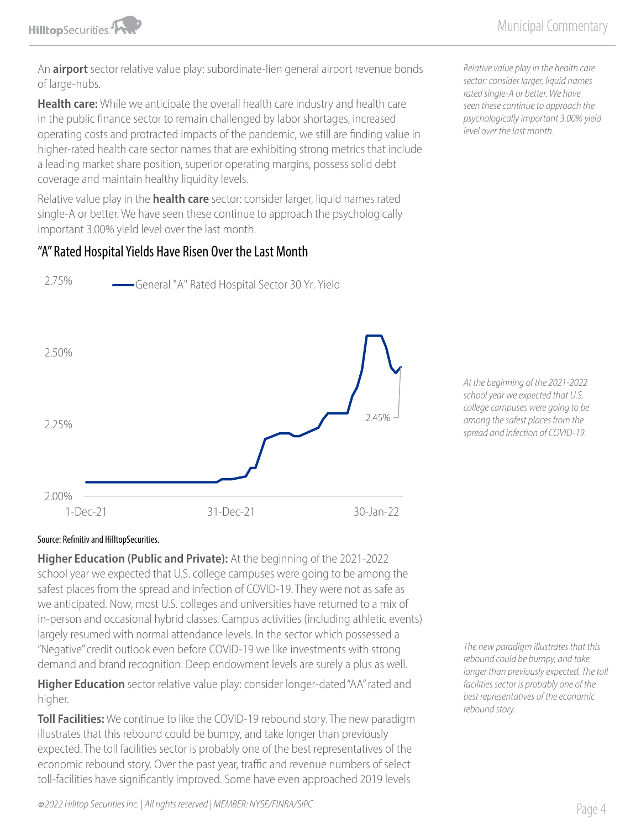

An **airport** sector relative value play: subordinate-lien general airport revenue bonds of large-hubs.

**Health care:** While we anticipate the overall health care industry and health care in the public finance sector to remain challenged by labor shortages, increased operating costs and protracted impacts of the pandemic, we still are finding value in higher-rated health care sector names that are exhibiting strong metrics that include a leading market share position, superior operating margins, possess solid debt coverage and maintain healthy liquidity levels.

Relative value play in the **health care** sector: consider larger, liquid names rated single-A or better. We have seen these continue to approach the psychologically important 3.00% yield level over the last month.

### "A" Rated Hospital Yields Have Risen Over the Last Month



*Relative value play in the health care sector: consider larger, liquid names rated single-A or better. We have seen these continue to approach the psychologically important 3.00% yield level over the last month.*

*At the beginning of the 2021-2022 school year we expected that U.S. college campuses were going to be among the safest places from the spread and infection of COVID-19.* 

#### Source: Refinitiv and HilltopSecurities.

**Higher Education (Public and Private):** At the beginning of the 2021-2022 school year we expected that U.S. college campuses were going to be among the safest places from the spread and infection of COVID-19. They were not as safe as we anticipated. Now, most U.S. colleges and universities have returned to a mix of in-person and occasional hybrid classes. Campus activities (including athletic events) largely resumed with normal attendance levels. In the sector which possessed a "Negative" credit outlook even before COVID-19 we like investments with strong demand and brand recognition. Deep endowment levels are surely a plus as well.

**Higher Education** sector relative value play: consider longer-dated "AA" rated and higher.

**Toll Facilities:** We continue to like the COVID-19 rebound story. The new paradigm illustrates that this rebound could be bumpy, and take longer than previously expected. The toll facilities sector is probably one of the best representatives of the economic rebound story. Over the past year, traffic and revenue numbers of select toll-facilities have significantly improved. Some have even approached 2019 levels

*The new paradigm illustrates that this rebound could be bumpy, and take longer than previously expected. The toll facilities sector is probably one of the best representatives of the economic rebound story.*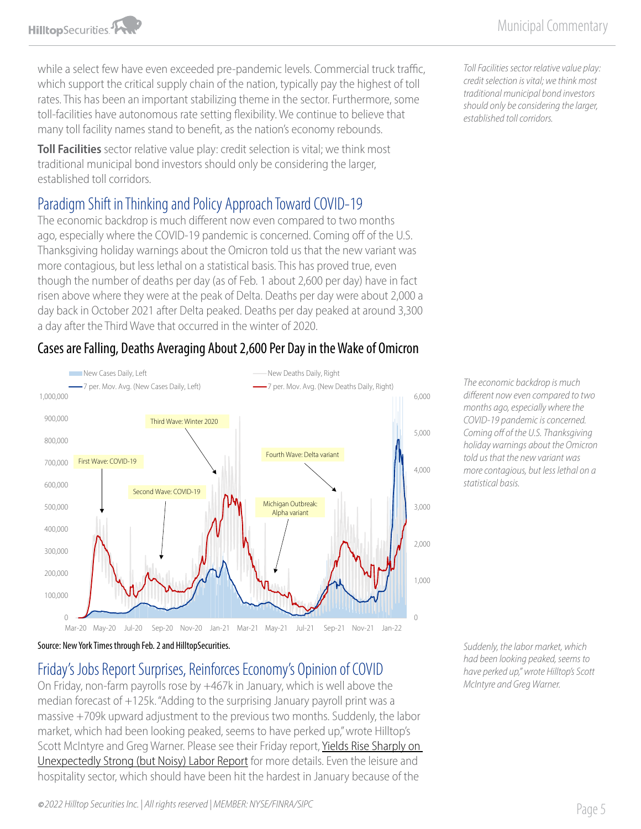*Toll Facilities sector relative value play: credit selection is vital; we think most traditional municipal bond investors should only be considering the larger,* 

*established toll corridors.* 

while a select few have even exceeded pre-pandemic levels. Commercial truck traffic, which support the critical supply chain of the nation, typically pay the highest of toll rates. This has been an important stabilizing theme in the sector. Furthermore, some toll-facilities have autonomous rate setting flexibility. We continue to believe that many toll facility names stand to benefit, as the nation's economy rebounds.

**Toll Facilities** sector relative value play: credit selection is vital; we think most traditional municipal bond investors should only be considering the larger, established toll corridors.

# Paradigm Shift in Thinking and Policy Approach Toward COVID-19

The economic backdrop is much different now even compared to two months ago, especially where the COVID-19 pandemic is concerned. Coming off of the U.S. Thanksgiving holiday warnings about the Omicron told us that the new variant was more contagious, but less lethal on a statistical basis. This has proved true, even though the number of deaths per day (as of Feb. 1 about 2,600 per day) have in fact risen above where they were at the peak of Delta. Deaths per day were about 2,000 a day back in October 2021 after Delta peaked. Deaths per day peaked at around 3,300 a day after the Third Wave that occurred in the winter of 2020.

# Cases are Falling, Deaths Averaging About 2,600 Per Day in the Wake of Omicron



*different now even compared to two months ago, especially where the COVID-19 pandemic is concerned. Coming off of the U.S. Thanksgiving holiday warnings about the Omicron told us that the new variant was more contagious, but less lethal on a statistical basis.* 

*The economic backdrop is much* 

Source: New York Times through Feb. 2 and HilltopSecurities.

# Friday's Jobs Report Surprises, Reinforces Economy's Opinion of COVID

On Friday, non-farm payrolls rose by +467k in January, which is well above the median forecast of +125k. "Adding to the surprising January payroll print was a massive +709k upward adjustment to the previous two months. Suddenly, the labor market, which had been looking peaked, seems to have perked up," wrote Hilltop's Scott McIntyre and Greg Warner. Please see their Friday report, Yields Rise Sharply on [Unexpectedly Strong \(but Noisy\) Labor Report](https://www.hilltopsecurities.com/economic_commentary/yields-rise-sharply-on-unexpectedly-strong-but-noisy-labor-report/) for more details. Even the leisure and hospitality sector, which should have been hit the hardest in January because of the

*Suddenly, the labor market, which had been looking peaked, seems to have perked up," wrote Hilltop's Scott McIntyre and Greg Warner.*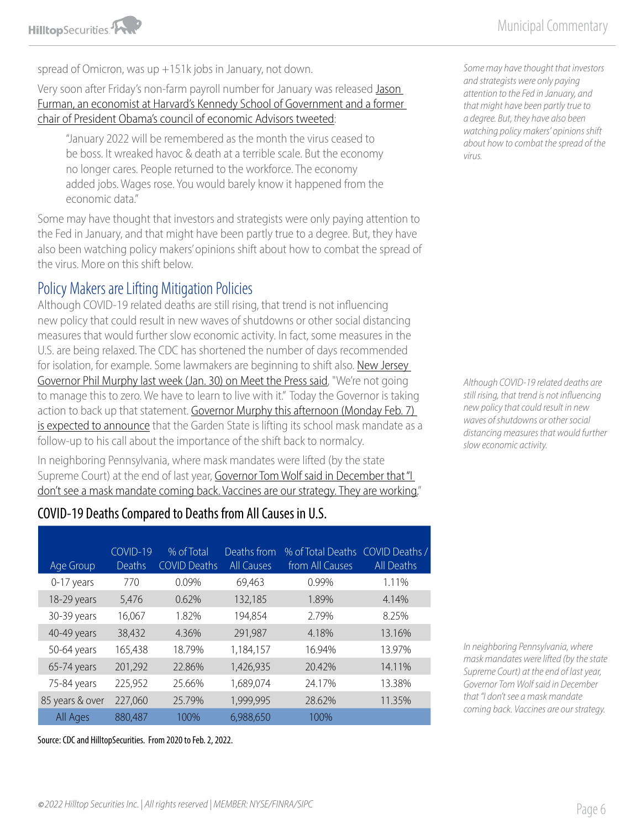spread of Omicron, was up +151k jobs in January, not down.

Very soon after Friday's non-farm payroll number for January was released [Jason](https://twitter.com/jasonfurman/status/1489596784116600832)  [Furman, an economist at Harvard's Kennedy School of Government and a former](https://twitter.com/jasonfurman/status/1489596784116600832)  [chair of President Obama's council of economic Advisors tweeted](https://twitter.com/jasonfurman/status/1489596784116600832):

"January 2022 will be remembered as the month the virus ceased to be boss. It wreaked havoc & death at a terrible scale. But the economy no longer cares. People returned to the workforce. The economy added jobs. Wages rose. You would barely know it happened from the economic data."

Some may have thought that investors and strategists were only paying attention to the Fed in January, and that might have been partly true to a degree. But, they have also been watching policy makers' opinions shift about how to combat the spread of the virus. More on this shift below.

# Policy Makers are Lifting Mitigation Policies

Although COVID-19 related deaths are still rising, that trend is not influencing new policy that could result in new waves of shutdowns or other social distancing measures that would further slow economic activity. In fact, some measures in the U.S. are being relaxed. The CDC has shortened the number of days recommended for isolation, for example. Some lawmakers are beginning to shift also. New Jersey [Governor Phil Murphy last week \(Jan. 30\) on Meet the Press said,](https://thehill.com/homenews/sunday-talk-shows/591996-murphy-says-time-for-state-to-learn-how-to-live-with-covid-19?rl=1) "We're not going to manage this to zero. We have to learn to live with it." Today the Governor is taking action to back up that statement. Governor Murphy this afternoon (Monday Feb. 7) [is expected to announce](https://www.cnn.com/2022/02/07/us/new-jersey-governor-murphy-schools-mask-mandate/index.html) that the Garden State is lifting its school mask mandate as a follow-up to his call about the importance of the shift back to normalcy.

In neighboring Pennsylvania, where mask mandates were lifted (by the state Supreme Court) at the end of last year, Governor Tom Wolf said in December that "I [don't see a mask mandate coming back. Vaccines are our strategy. They are working.](https://www.ydr.com/story/news/2021/12/15/pa-wolf-mask-mandates/8898999002/)"

### COVID-19 Deaths Compared to Deaths from All Causes in U.S.

| Age Group       | COVID-19<br>Deaths | % of Total<br><b>COVID Deaths</b> | Deaths from<br><b>All Causes</b> | % of Total Deaths COVID Deaths /<br>from All Causes | <b>All Deaths</b> |
|-----------------|--------------------|-----------------------------------|----------------------------------|-----------------------------------------------------|-------------------|
| 0-17 years      | 770                | $0.09\%$                          | 69,463                           | 0.99%                                               | 1.11%             |
| 18-29 years     | 5,476              | 0.62%                             | 132,185                          | 1.89%                                               | 4.14%             |
| 30-39 years     | 16,067             | 1.82%                             | 194,854                          | 2.79%                                               | 8.25%             |
| 40-49 years     | 38,432             | 4.36%                             | 291,987                          | 4.18%                                               | 13.16%            |
| 50-64 years     | 165,438            | 18.79%                            | 1,184,157                        | 16.94%                                              | 13.97%            |
| 65-74 years     | 201,292            | 22.86%                            | 1,426,935                        | 20.42%                                              | 14.11%            |
| 75-84 years     | 225,952            | 25.66%                            | 1,689,074                        | 24.17%                                              | 13.38%            |
| 85 years & over | 227,060            | 25.79%                            | 1,999,995                        | 28.62%                                              | 11.35%            |
| All Ages        | 880,487            | 100%                              | 6,988,650                        | 100%                                                |                   |

Source: CDC and HilltopSecurities. From 2020 to Feb. 2, 2022.

*Some may have thought that investors and strategists were only paying attention to the Fed in January, and that might have been partly true to a degree. But, they have also been watching policy makers' opinions shift about how to combat the spread of the virus.* 

*Although COVID-19 related deaths are still rising, that trend is not influencing new policy that could result in new waves of shutdowns or other social distancing measures that would further slow economic activity.* 

*In neighboring Pennsylvania, where mask mandates were lifted (by the state Supreme Court) at the end of last year, Governor Tom Wolf said in December that "I don't see a mask mandate coming back. Vaccines are our strategy.*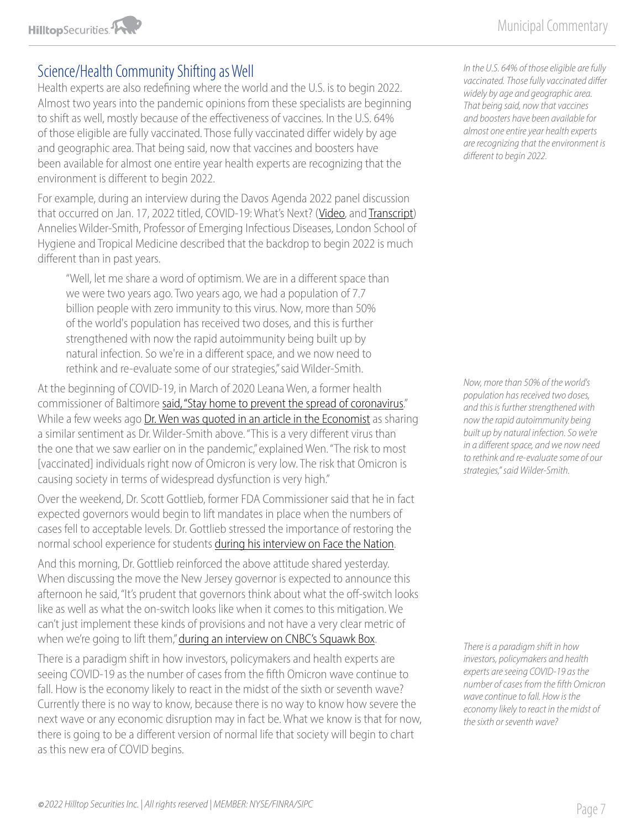# Science/Health Community Shifting as Well

Health experts are also redefining where the world and the U.S. is to begin 2022. Almost two years into the pandemic opinions from these specialists are beginning to shift as well, mostly because of the effectiveness of vaccines. In the U.S. 64% of those eligible are fully vaccinated. Those fully vaccinated differ widely by age and geographic area. That being said, now that vaccines and boosters have been available for almost one entire year health experts are recognizing that the environment is different to begin 2022.

For example, during an interview during the Davos Agenda 2022 panel discussion that occurred on Jan. 17, 2022 titled, COVID-19: What's Next? ([Video](https://www.weforum.org/videos/davos-agenda-2022-covid-19-what-s-next-english), and [Transcript\)](https://www.weforum.org/agenda/2022/01/omicron-end-of-covid-19-anthony-fauci-radio-davos/) Annelies Wilder-Smith, Professor of Emerging Infectious Diseases, London School of Hygiene and Tropical Medicine described that the backdrop to begin 2022 is much different than in past years.

"Well, let me share a word of optimism. We are in a different space than we were two years ago. Two years ago, we had a population of 7.7 billion people with zero immunity to this virus. Now, more than 50% of the world's population has received two doses, and this is further strengthened with now the rapid autoimmunity being built up by natural infection. So we're in a different space, and we now need to rethink and re-evaluate some of our strategies," said Wilder-Smith.

At the beginning of COVID-19, in March of 2020 Leana Wen, a former health commissioner of Baltimore [said, "Stay home to prevent the spread of coronavirus](https://www.cnbc.com/video/2020/03/18/stay-home-to-prevent-the-spread-of-the-coronavirus-dr-leana-wen.html)." While a few weeks ago [Dr. Wen was quoted in an article in the Economist](https://www.economist.com/united-states/in-america-the-pandemic-has-seemingly-hit-a-turning-point/21807003) as sharing a similar sentiment as Dr. Wilder-Smith above. "This is a very different virus than the one that we saw earlier on in the pandemic," explained Wen. "The risk to most [vaccinated] individuals right now of Omicron is very low. The risk that Omicron is causing society in terms of widespread dysfunction is very high."

Over the weekend, Dr. Scott Gottlieb, former FDA Commissioner said that he in fact expected governors would begin to lift mandates in place when the numbers of cases fell to acceptable levels. Dr. Gottlieb stressed the importance of restoring the normal school experience for students [during his interview on Face the Nation](https://twitter.com/FaceTheNation/status/1490372594809327617).

And this morning, Dr. Gottlieb reinforced the above attitude shared yesterday. When discussing the move the New Jersey governor is expected to announce this afternoon he said, "It's prudent that governors think about what the off-switch looks like as well as what the on-switch looks like when it comes to this mitigation. We can't just implement these kinds of provisions and not have a very clear metric of when we're going to lift them," [during an interview on CNBC's Squawk Box](https://www.cnbc.com/video/2022/02/07/governors-should-consider-when-to-lift-covid-mandates-says-dr-scott-gottlieb.html).

There is a paradigm shift in how investors, policymakers and health experts are seeing COVID-19 as the number of cases from the fifth Omicron wave continue to fall. How is the economy likely to react in the midst of the sixth or seventh wave? Currently there is no way to know, because there is no way to know how severe the next wave or any economic disruption may in fact be. What we know is that for now, there is going to be a different version of normal life that society will begin to chart as this new era of COVID begins.

*In the U.S. 64% of those eligible are fully vaccinated. Those fully vaccinated differ widely by age and geographic area. That being said, now that vaccines and boosters have been available for almost one entire year health experts are recognizing that the environment is different to begin 2022.*

*Now, more than 50% of the world's population has received two doses, and this is further strengthened with now the rapid autoimmunity being built up by natural infection. So we're in a different space, and we now need to rethink and re-evaluate some of our strategies," said Wilder-Smith.*

*There is a paradigm shift in how investors, policymakers and health experts are seeing COVID-19 as the number of cases from the fifth Omicron wave continue to fall. How is the economy likely to react in the midst of the sixth or seventh wave?*